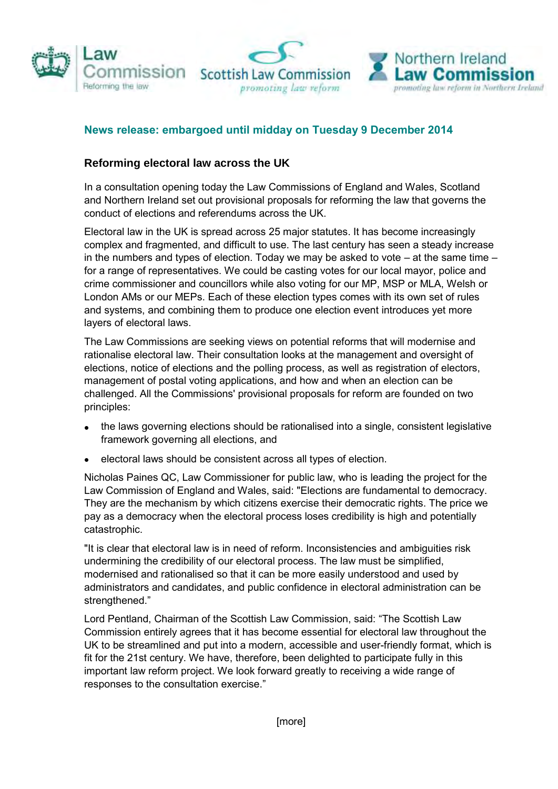





## **News release: embargoed until midday on Tuesday 9 December 2014**

## **Reforming electoral law across the UK**

 In a consultation opening today the Law Commissions of England and Wales, Scotland and Northern Ireland set out provisional proposals for reforming the law that governs the conduct of elections and referendums across the UK.

 Electoral law in the UK is spread across 25 major statutes. It has become increasingly complex and fragmented, and difficult to use. The last century has seen a steady increase in the numbers and types of election. Today we may be asked to vote – at the same time – for a range of representatives. We could be casting votes for our local mayor, police and crime commissioner and councillors while also voting for our MP, MSP or MLA, Welsh or London AMs or our MEPs. Each of these election types comes with its own set of rules and systems, and combining them to produce one election event introduces yet more layers of electoral laws.

 The Law Commissions are seeking views on potential reforms that will modernise and rationalise electoral law. Their consultation looks at the management and oversight of elections, notice of elections and the polling process, as well as registration of electors, management of postal voting applications, and how and when an election can be challenged. All the Commissions' provisional proposals for reform are founded on two principles:

- the laws governing elections should be rationalised into a single, consistent legislative framework governing all elections, and
- electoral laws should be consistent across all types of election.

 Nicholas Paines QC, Law Commissioner for public law, who is leading the project for the Law Commission of England and Wales, said: "Elections are fundamental to democracy. They are the mechanism by which citizens exercise their democratic rights. The price we pay as a democracy when the electoral process loses credibility is high and potentially catastrophic.

 "It is clear that electoral law is in need of reform. Inconsistencies and ambiguities risk undermining the credibility of our electoral process. The law must be simplified, modernised and rationalised so that it can be more easily understood and used by administrators and candidates, and public confidence in electoral administration can be strengthened."

 Lord Pentland, Chairman of the Scottish Law Commission, said: "The Scottish Law Commission entirely agrees that it has become essential for electoral law throughout the UK to be streamlined and put into a modern, accessible and user-friendly format, which is fit for the 21st century. We have, therefore, been delighted to participate fully in this important law reform project. We look forward greatly to receiving a wide range of responses to the consultation exercise."